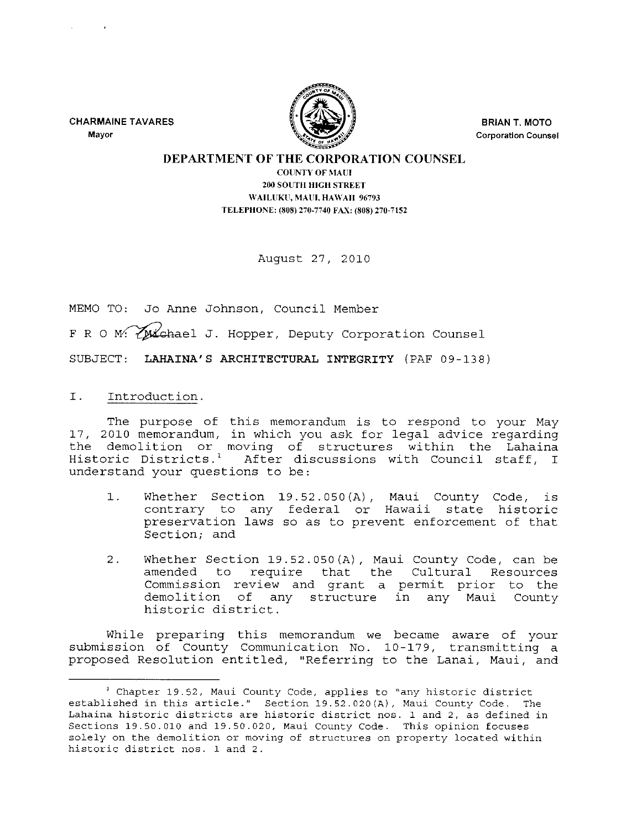CHARMAINE TAVARES **Mayor** 



BRIAN T. MOTO **Corporation Counsel** 

## DEPARTMENT OF THE CORPORATION COUNSEL

COlINTY OF MAUl 200 SOUTH HIGH STREET WAILUKU, MAUI, HAWAII 96793 TELEPHONE, (808) 270·7740 FAX, (808) 270·7152

August 27, 2010

MEMO TO: Jo Anne Johnson, Council Member F R O M: ZMichael J. Hopper, Deputy Corporation Counsel SUBJECT: LAHAINA'S ARCHITECTURAL INTEGRITY (PAF 09-138)

I. Introduction.

The purpose of this memorandum is to respond to your May 17, 2010 memorandum, in which you ask for legal advice regarding the demolition or moving of structures within the Lahaina Historic Districts. 1 After discussions with Council staff, I understand your questions to be:

- 1. Whether Section 19.52.050(A) Maui County Code, is contrary to any federal or Hawaii state historic preservation laws so as to prevent enforcement of that Section; and
- 2. Whether Section 19.52.050(A), Maui County Code, can be amended to require that the Cultural Resources Commission review and grant a permit prior to the demolition of any structure in any Maui County historic district.

While preparing this memorandum we became aware of your submission of County Communication No. 10-179, transmitting a proposed Resolution entitled, "Referring to the Lanai, Maui, and

<sup>&</sup>lt;sup>1</sup> Chapter 19.52, Maui County Code, applies to "any historic district established in this article." Section 19.52.020(A), Maui County Code. The Lahaina historic districts are historic district nos. 1 and 2, as defined in Sections 19.50.010 and 19.50.020, Maui County Code. This opinion focuses solely on the demolition or moving of structures on property located within historic district nos. 1 and 2.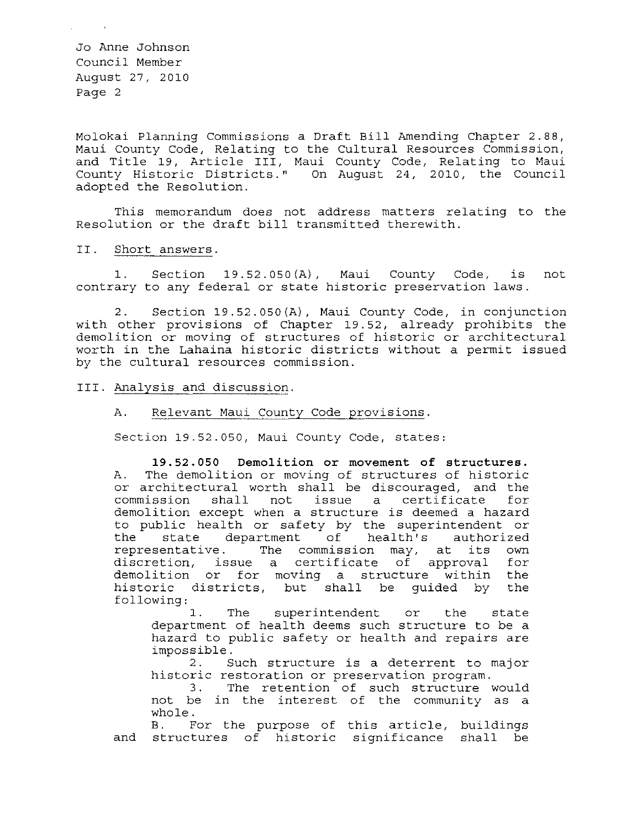Molokai Planning Commissions a Draft Bill Amending Chapter 2.88, Maui County Code, Relating to the Cultural Resources Commission, and Title 19, Article III, Maui County Code, Relating to Maui County Historic Districts." On August 24, 2010, the Council adopted the Resolution.

This memorandum does not address matters relating to the Resolution or the draft bill transmitted therewith.

## II. Short answers.

1. Section 19.52.050(A), Maui County Code, is not contrary to any federal or state historic preservation laws.

2. Section 19.52.050(A), Maui County Code, in conjunction with other provisions of Chapter 19.52, already demolition or moving of structures of historic or worth in the Lahaina historic districts without a permit issued by the cultural resources commission. prohibits the architectural

## III. Analysis and discussion.

## A. Relevant Maui County Code provisions.

Section 19.52.050, Maui County Code, states:

19.52.050 **Demolition or movement of structures.**  A. The demolition or moving of structures of historic or architectural worth shall be discouraged, and the commission shall not issue a certificate for not issue a certificate demolition except when a structure is deemed a hazard to public health or safety by the superintendent or the state department of health's authorized the state department of health's authorized<br>representative. The commission may, at its own discretion, issue a certificate of approval for demolition or for moving a structure within the historic districts, but shall be guided by the following:

1. The superintendent or the state department of health deems such structure to be a hazard to public safety or health and repairs are impossible.

2. Such structure is a deterrent to major historic restoration or preservation program.

3. The retention of such structure would not be in the interest of the community as a whole.

B. For the purpose of this article, buildings and structures of historic significance shall be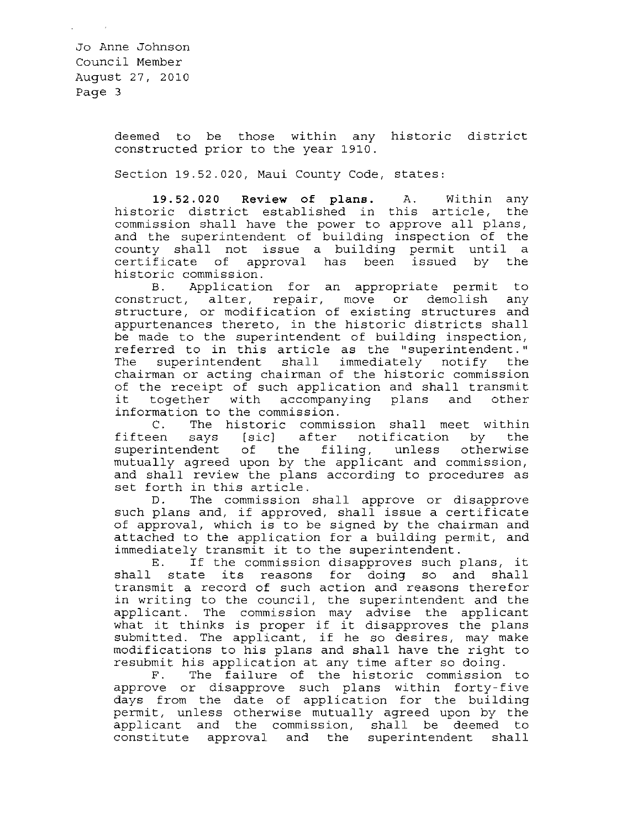> deemed to be those within any historic district constructed prior to the year 1910.

Section 19.52.020, Maui County Code, states:

**19.52.020 Review of plans.** A. Within any historic district established in this article, the commission shall have the power to approve all plans, and the superintendent of building inspection of the county shall not issue a building permit until a certificate of approval has been issued by the historic commission.<br>B. Applicatio

Application for an appropriate permit to construct, alter, repair, move or demolish any structure, or modification of existing structures and appurtenances thereto, in the historic districts shall be made to the superintendent of building inspection, referred to in this article as the "superintendent." The superintendent shall immediately notify the chairman or acting chairman of the historic commission of the receipt of such application and shall transmit<br>it together with accompanying plans and other together with accompanying plans

information to the commission.<br>C. The historic commis C. The historic commission shall meet within<br>fifteen says [sic] after notification by the says [sic] after notification by superintendent of the filing, unless otherwise mutually agreed upon by the applicant and commission, and shall review the plans according to procedures as set forth in this article.<br>D. The commission

The commission shall approve or disapprove such plans and, if approved, shall issue a certificate of approval, which is to be signed by the chairman and attached to the application for a building permit, and immediately transmit it to the superintendent.

E. If the commission disapproves such plans, it shall state its reasons for doing so and shall transmit a record of such action and reasons therefor in writing to the council, the superintendent and the applicant. The commission may advise the applicant what it thinks is proper if it disapproves the plans submitted. The applicant, if he so desires, may make modifications to his plans and shall have the right to resubmit his application at any time after so doing.

F. The failure of the historic commission to approve or disapprove such plans within forty-five days from the date of application for the building adyb from the date of apprication for the baffaing<br>permit, unless otherwise mutually agreed upon by the applicant and the commission, shall be deemed to constitute approval and the superintendent shall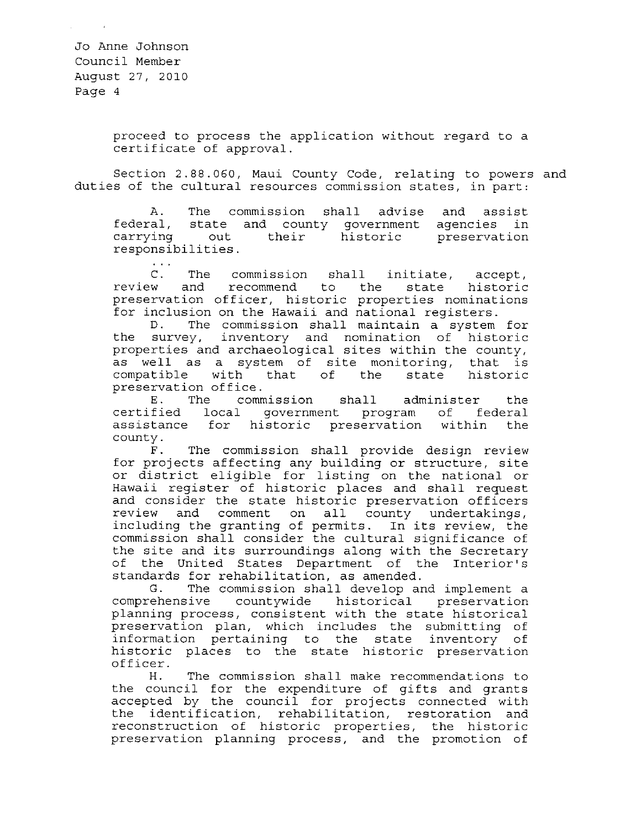> proceed to process the application without regard to a certificate of approval.

Section 2.88.060, Maui County Code, relating to powers and duties of the cultural resources commission states, in part:

A. The commission shall advise and assist federal, state and county government agencies in carrying out their historic responsibilities. agencies in<br>preservation

C. The commission shall initiate, accept,<br>w and recommend to the state historic review and recommend to the state preservation officer, historic properties nominations for inclusion on the Hawaii and national registers.<br>D. The commission shall maintain a system

The commission shall maintain a system for the survey, inventory and nomination of historic properties and archaeological sites within the county, as well as a system of site monitoring, that is<br>compatible with that of the state historic with that preservation office.

E. The commission shall administer the certified local government program of federal assistance for historic preservation within the county.

F. The commission shall provide design review for projects affecting any building or structure, site or district eligible for listing on the national or Hawaii register of historic places and shall request and consider the state historic preservation officers review and comment on all county undertakings, including the granting of permits. In its review, the commission shall consider the cultural significance of the site and its surroundings along with the Secretary of the United States Department of the Interior's standards for rehabilitation, as amended.<br>G. The commission shall develop and

The commission shall develop and implement a comprehensive countywide historical preservation planning process, consistent with the state historical preservation plan, which includes the submitting of information pertaining to the state inventory of historic places to the state historic preservation officer.<br>H.

The commission shall make recommendations to the council for the expenditure of gifts and grants accepted by the council for projects connected with the identification, rehabilitation, restoration and reconstruction of historic properties, the historic preservation planning process, and the promotion of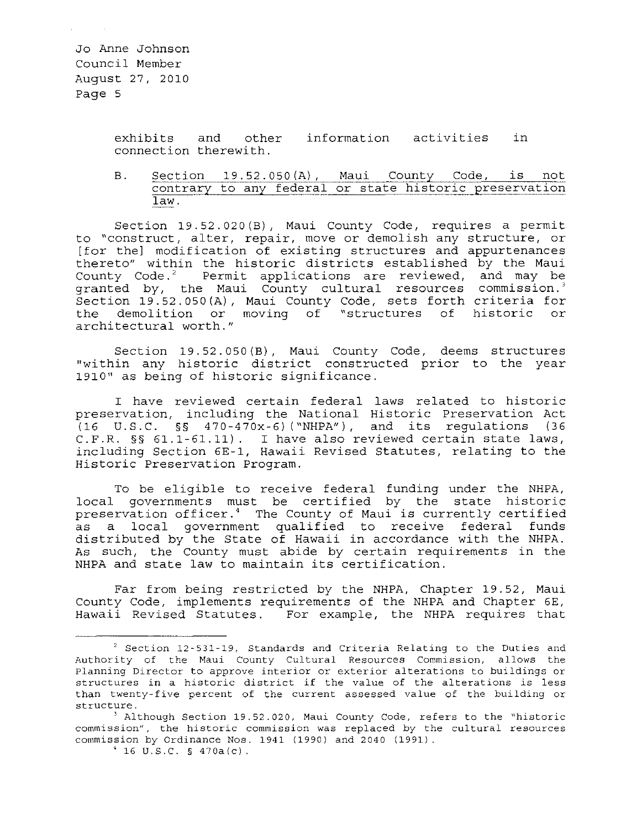> exhibits and connection therewith. information activities in

B. Section 19.52.050(A), Maui County Code, is not contrary to any federal or state historic preservation law.

Section 19.52.020(B), Maui County Code, requires a permit to "construct, alter, repair, move or demolish any structure, or [for the] modification of existing structures and appurtenances thereto" within the historic districts established by the Maui County Code.<sup>2</sup> Permit applications are reviewed, and may be granted by, the Maui County cultural resources commission.<sup>3</sup> Section 19.52.050(A), Maui County Code, sets forth criteria for the demolition or moving of "structures of historic or architectural worth."

Section 19.52.050 (B), Maui County Code, deems structures "within any historic district constructed prior to the year 1910" as being of historic significance.

I have reviewed certain federal laws related to historic preservation, including the National Historic Preservation Act (16 U.S.C. §§ 470-470x-6) ("NHPA"), and its regulations (36 C.F.R. §§ 61.1-61.11). I have also reviewed certain state laws, including Section 6E-1, Hawaii Revised Statutes, relating to the Historic Preservation Program.

To be eligible to receive federal funding under the NHPA, local governments must be certified by the state historic preservation officer.' The County of Maui is currently certified as a local government qualified to receive federal funds distributed by the State of Hawaii in accordance with the NHPA. As such, the County must abide by certain requirements in the NHPA and state law to maintain its certification.

Far from being restricted by the NHPA, Chapter 19.52, Maui county Code, implements requirements of the NHPA and Chapter 6E, Hawaii Revised Statutes. For example, the NHPA requires that

<sup>2</sup>**Section 12-531-19, Standards and Criteria Relating to the Duties and Authority of the Maui County Cultural Resources Commission, allows the Planning Director to approve interior or exterior alterations to buildings or structures in a historic district if the value of the alterations is less than twenty-five percent of the current assessed value of the building or structure.** 

<sup>&</sup>lt;sup>3</sup> Although Section 19.52.020, Maui County Code, refers to the "historic **commission" I the historic commission was replaced by the cultural resources**  commission by Ordinance Nos. 1941 (1990) and 2040 (1991) .

 $\frac{4}{16}$  U.S.C. § 470a(c).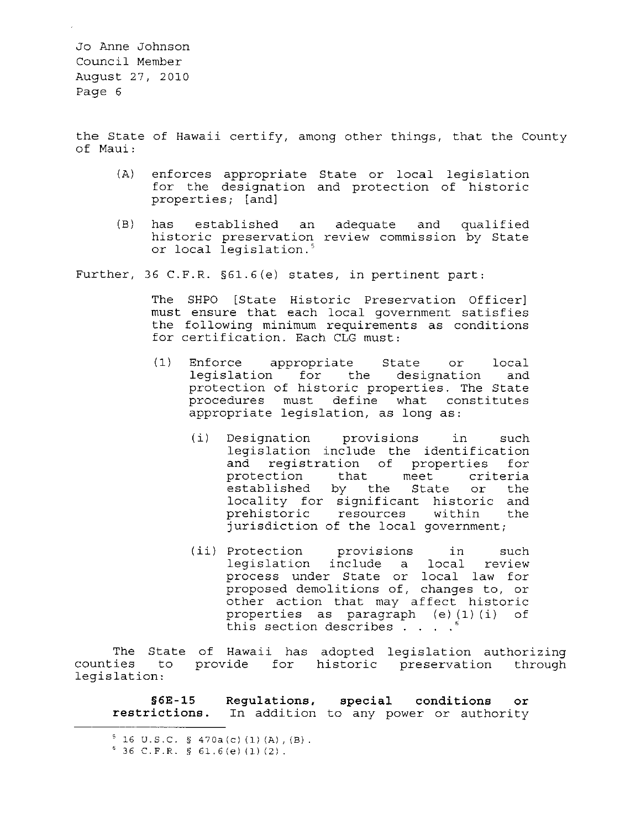the State of Hawaii certify, among other things, that the County of Maui:

- (A) enforces appropriate State or local legislation for the designation and protection of historic properties; [and)
- $(B)$ has established an historic preservation or local legislation.' adequate and qualified review commission by State

Further, 36 C.F.R. §61.6(e) states, in pertinent part:

The SHPO [State Historic Preservation Officer) must ensure that each local government satisfies the following minimum requirements as conditions for certification. Each CLG must:

- (1) Enforce appropriate State or local legislation for the designation and protection of historic properties. The State procedures must define what constitutes appropriate legislation, as long as:
	- (i) Designation provisions in such legislation include the identification and registration of properties for and registration of properties for<br>protection that meet criteria established by the State or the locality for significant historic and prehistoric resources within the jurisdiction of the local government;
	- (ii) Protection provisions in such legislation include a local review process under State or local law for proposed demolitions of, changes to, or other action that may affect historic properties as paragraph (e) (1) (i) of this section describes  $\overline{\cdot}$   $\cdot$   $\cdot$   $\cdot$

The State counties to legislation: of Hawaii has provide for adopted historic legislation authorizing preservation through

**§6E-15 Regulations, special conditions or restrictions.** In addition to any power or authority

 $5$  16 U.S.C. § 470a(c)(1)(A),(B).

**<sup>636</sup> C.F.R. § 61.6(e) (1) (2).**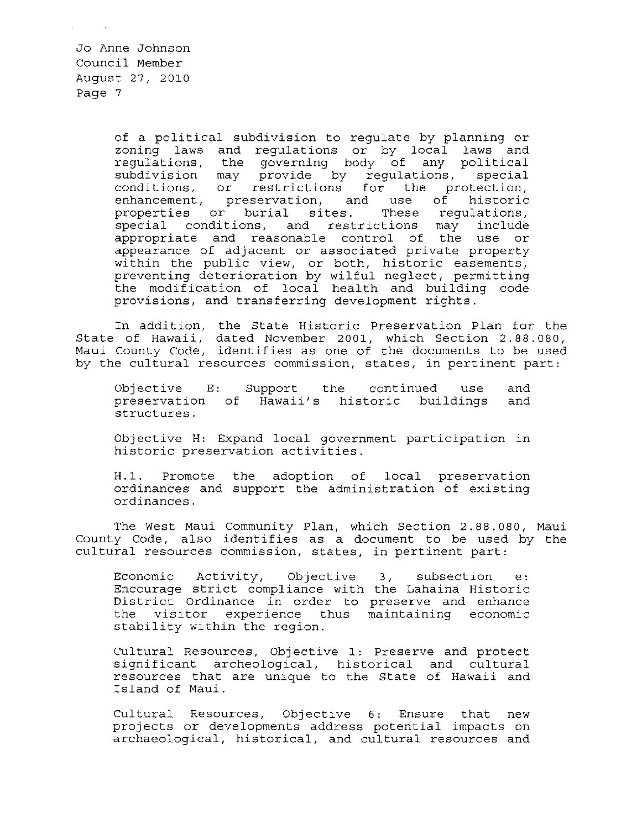> of a political subdivision to regulate by planning or zoning laws and regulations or by local laws and regulations, the governing body of any political<br>subdivision may provide by regulations, special subdivision may provide by regulations, special conditions, or restrictions for the protection, enhancement, preservation, and use of historic properties or burial sites. These regulations, special conditions, and restrictions may include appropriate and reasonable control of the use or appearance of adjacent or associated private property within the public view, or both, historic easements, preventing deterioration by wilful neglect, permitting the modification of local health and building code provisions, and transferring development rights.

In addition, the State Historic Preservation Plan for the State of Hawaii, dated November 2001, which Section 2.88.080, Maui County Code, identifies as one of the documents to be used by the cultural resources commission, states, in pertinent part:

Objective E: preservation of Hawaii's historic buildings structures. Support the continued use and and

Objective H: Expand local government participation in historic preservation activities.

H.1. Promote the adoption of local preservation ordinances and support the administration of existing ordinances.

The West Maui Community Plan, which Section 2.88.080, Maui County Code, also identifies as a document to be used by the cultural resources commission, states, in pertinent part:

Economic Activity, Encourage strict compliance with the Lahaina Historic District Ordinance in order to preserve and enhance Experies cruinance in crucit so preserve and enhance<br>the visitor experience thus maintaining economic the visitor experience t<br>stability within the region. Objective 3, subsection e:

Cultural Resources, Objective 1: Preserve and protect significant archeological, historical and cultural resources that are unique to the State of Hawaii and Island of Maui.

Cultural Resources, Objective 6: Ensure that new projects or developments address potential impacts on archaeological, historical, and cultural resources and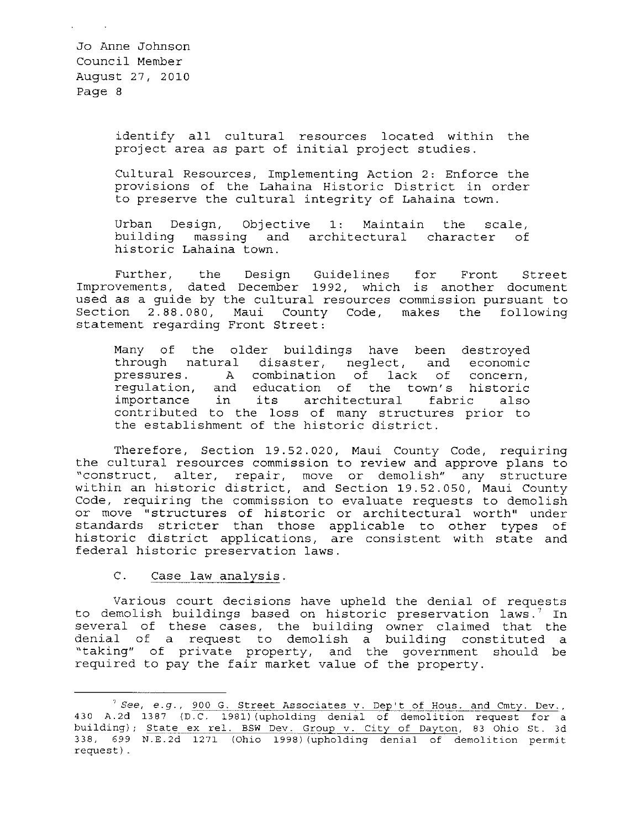> identify all cultural resources located within the project area as part of initial project studies.

> Cultural Resources, Implementing Action 2: Enforce the provisions of the Lahaina Historic District in order to preserve the cultural integrity of Lahaina town.

> Urban Design, Objective 1: Maintain the scale, building massing and architectural character of historic Lahaina town.

Further, the Design Guidelines for Front Street Improvements, dated December 1992, which is another document used as a guide by the cultural resources commission pursuant to Section 2.88.080, Maui County Code, makes the following statement regarding Front Street:

Many of the older buildings have been destroyed through natural disaster, neglect, and economic<br>pressures. A combination of lack of concern. A combination of lack of concern, regulation, and education of the town's historic importance in its architectural fabric also importance in its architectural fabric also<br>contributed to the loss of many structures prior to the establishment of the historic district.

Therefore, Section 19.52.020, Maui County Code, requiring the cultural resources commission to review and approve plans to "construct, alter, repair, move or demolish" any structure within an historic district, and Section 19.52.050, Maui County Code, requiring the commission to evaluate requests to demolish or move "structures of historic or architectural worth" under standards stricter than those applicable to other types of historic district applications, are consistent with state and federal historic preservation laws.

C. Case law analysis.

Various court decisions have upheld the denial of requests to demolish buildings based on historic preservation laws.<sup>7</sup> In several of these cases, the building owner claimed that the denial of a request to demolish a building constituted a "taking" of private property, and the government should be required to pay the fair market value of the property.

 $7$  See, e.g., 900 G. Street Associates v. Dep't of Hous. and Cmty. Dev., 430 A.2d 1387 (D.C. 1981) (upholding denial of demolition request for a building); State ex rel. BSW Dev. Group v. City of Dayton, 83 Ohio St. 3d 338, 699 N.E.2d 1271 (Ohio 1998) (upholding denial of demolition permit request) .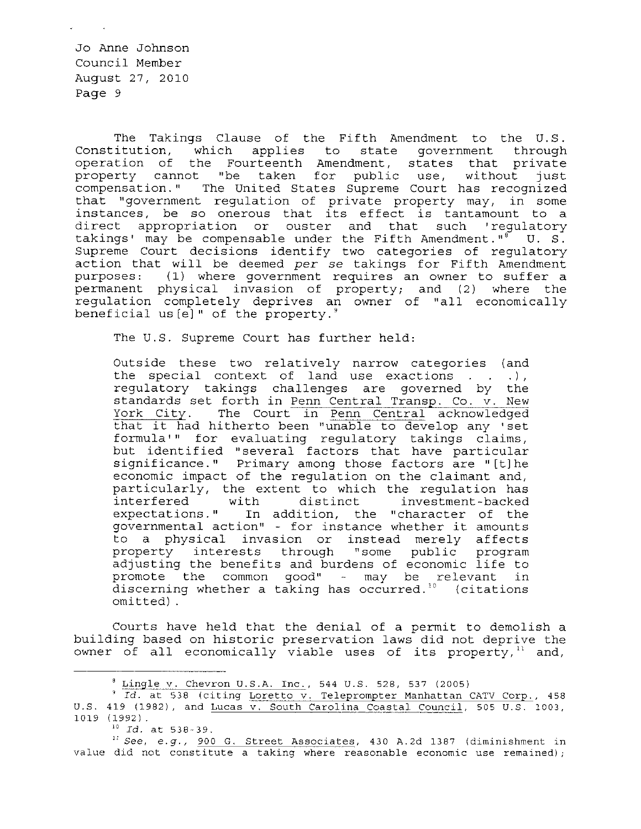The Takings Clause of the Fifth Amendment to the U.S. Constitution, which applies to state government through operation of the Fourteenth Amendment, states that private property cannot "be taken for public use, without just compensation. " The United States Supreme Court has recognized that "government regulation of private property may, in some instances, be so onerous that its effect is tantamount to a direct appropriation or ouster and that such 'regulatory takings' may be compensable under the Fifth Amendment."<sup>8</sup> U. S. Supreme Court decisions identify two categories of regulatory action that will be deemed *per* se takings for Fifth Amendment  $(1)$  where government requires an owner to suffer a permanent physical invasion of property; and (2) where the regulation completely deprives an owner of "all economically beneficial us  $[e]$ " of the property.<sup>9</sup>

The U.S. Supreme Court has further held:

Outside these two relatively narrow categories (and the special context of land use exactions  $($ .  $)$ , regulatory takings challenges are governed by the standards set forth in Penn Central Transp. Co. v. New<br>York City. The Court in Penn Central acknowledged The Court in Penn Central acknowledged that it had hitherto been "unable to develop any 'set formula'" for evaluating regulatory takings claims, but identified "several factors that have particular significance. " Primary among those factors are "[t] he economic impact of the regulation on the claimant and, particularly, the extent to which the regulation has investment-backed expectations." In addition, the "character of the governmental action" - for instance whether it amounts to a physical invasion or instead merely affects property interests through "some public program adjusting the benefits and burdens of economic life to promote the common good"  $-$  may be relevant in discerning whether a taking has occurred." (citations omitted) .

Courts have held that the denial of a permit to demolish a building based on historic preservation laws did not deprive the owner of all economically viable uses of its property, $11$  and,

 ${}^{8}$  Lingle v. Chevron U.S.A. Inc., 544 U.S. 528, 537 (2005)

<sup>&</sup>lt;sup>9</sup> Id. at 538 (citing Loretto v. Teleprompter Manhattan CATV Corp., 458 U.S. 419 (1982), and Lucas v. South Carolina Coastal Council, 505 U.S. 1003, 1019 (1992).

*<sup>&</sup>quot; Id.* at 538-39.

**<sup>11</sup> See, e.g., 900 G. Street Associates, 430 A.2d 1387 (diminishment in value did not constitute a taking where reasonable economic use remained)** *i*